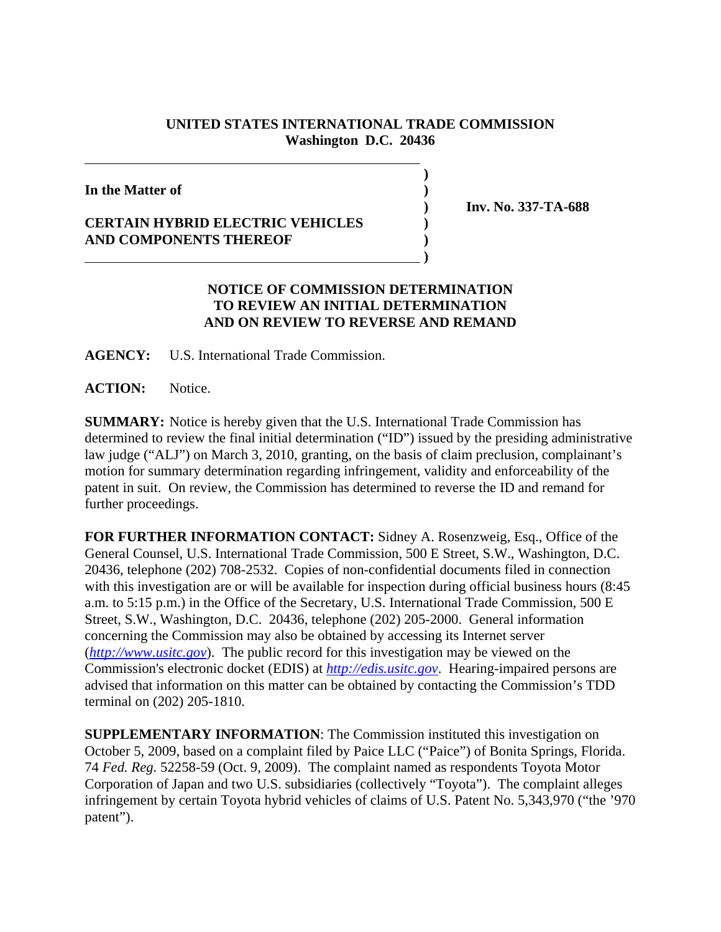## **UNITED STATES INTERNATIONAL TRADE COMMISSION Washington D.C. 20436**

**)**

**In the Matter of )**

## **CERTAIN HYBRID ELECTRIC VEHICLES ) AND COMPONENTS THEREOF )**

 **)**

 **) Inv. No. 337-TA-688**

## **NOTICE OF COMMISSION DETERMINATION TO REVIEW AN INITIAL DETERMINATION AND ON REVIEW TO REVERSE AND REMAND**

**AGENCY:** U.S. International Trade Commission.

**ACTION:** Notice.

**SUMMARY:** Notice is hereby given that the U.S. International Trade Commission has determined to review the final initial determination ("ID") issued by the presiding administrative law judge ("ALJ") on March 3, 2010, granting, on the basis of claim preclusion, complainant's motion for summary determination regarding infringement, validity and enforceability of the patent in suit. On review, the Commission has determined to reverse the ID and remand for further proceedings.

**FOR FURTHER INFORMATION CONTACT:** Sidney A. Rosenzweig, Esq., Office of the General Counsel, U.S. International Trade Commission, 500 E Street, S.W., Washington, D.C. 20436, telephone (202) 708-2532. Copies of non-confidential documents filed in connection with this investigation are or will be available for inspection during official business hours (8:45 a.m. to 5:15 p.m.) in the Office of the Secretary, U.S. International Trade Commission, 500 E Street, S.W., Washington, D.C. 20436, telephone (202) 205-2000. General information concerning the Commission may also be obtained by accessing its Internet server (*http://www.usitc.gov*). The public record for this investigation may be viewed on the Commission's electronic docket (EDIS) at *http://edis.usitc.gov*. Hearing-impaired persons are advised that information on this matter can be obtained by contacting the Commission's TDD terminal on (202) 205-1810.

**SUPPLEMENTARY INFORMATION**: The Commission instituted this investigation on October 5, 2009, based on a complaint filed by Paice LLC ("Paice") of Bonita Springs, Florida. 74 *Fed. Reg.* 52258-59 (Oct. 9, 2009). The complaint named as respondents Toyota Motor Corporation of Japan and two U.S. subsidiaries (collectively "Toyota"). The complaint alleges infringement by certain Toyota hybrid vehicles of claims of U.S. Patent No. 5,343,970 ("the '970 patent").